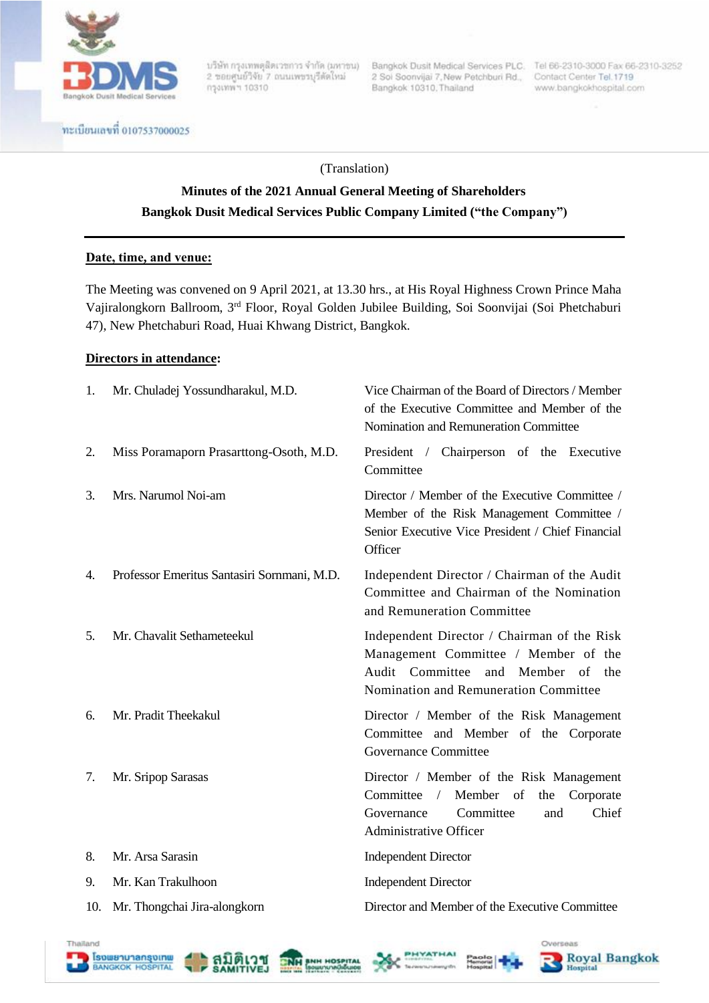

ทะเบียนเลขที่ 0107537000025

2 ขอบศูนย์วิจัย 7 ถนนเพขรบุรีตัดไหม่ กรุงเทพฯ 10310

2 Soi Soonvijai 7, New Petchburi Rd., Contact Center Tel. 1719 Bangkok 10310, Thailand

บริษัท กรุงเทพตุสิตเวชการ จำกัด (มหาชน) Bangkok Dusit Medical Services PLC. Tel 66-2310-3000 Fax 66-2310-3252 www.bangkokhospital.com

Overseas

**Royal Bangkok** 

Hospital

(Translation)

# **Minutes of the 2021 Annual General Meeting of Shareholders Bangkok Dusit Medical Services Public Company Limited ("the Company")**

#### **Date, time, and venue:**

The Meeting was convened on 9 April 2021, at 13.30 hrs., at His Royal Highness Crown Prince Maha Vajiralongkorn Ballroom, 3rd Floor, Royal Golden Jubilee Building, Soi Soonvijai (Soi Phetchaburi 47), New Phetchaburi Road, Huai Khwang District, Bangkok.

#### **Directors in attendance:**

Thailand

**Esowanunanspinw**<br>BANGKOK HOSPITAL

สมิติเวข

**NAI BNH HOSPITA** 

| 1.  | Mr. Chuladej Yossundharakul, M.D.           | Vice Chairman of the Board of Directors / Member<br>of the Executive Committee and Member of the<br>Nomination and Remuneration Committee                                                      |  |  |  |
|-----|---------------------------------------------|------------------------------------------------------------------------------------------------------------------------------------------------------------------------------------------------|--|--|--|
| 2.  | Miss Poramaporn Prasarttong-Osoth, M.D.     | President / Chairperson of the Executive<br>Committee                                                                                                                                          |  |  |  |
| 3.  | Mrs. Narumol Noi-am                         | Director / Member of the Executive Committee /<br>Member of the Risk Management Committee /<br>Senior Executive Vice President / Chief Financial<br>Officer                                    |  |  |  |
| 4.  | Professor Emeritus Santasiri Sornmani, M.D. | Independent Director / Chairman of the Audit<br>Committee and Chairman of the Nomination<br>and Remuneration Committee                                                                         |  |  |  |
| 5.  | Mr. Chavalit Sethameteekul                  | Independent Director / Chairman of the Risk<br>Management Committee / Member of the<br>Audit Committee<br>and Member<br>of<br>the<br>Nomination and Remuneration Committee                     |  |  |  |
| 6.  | Mr. Pradit Theekakul                        | Director / Member of the Risk Management<br>Committee and Member of the Corporate<br>Governance Committee                                                                                      |  |  |  |
| 7.  | Mr. Sripop Sarasas                          | Director / Member of the Risk Management<br>Member<br>Committee<br>$\sqrt{2}$<br><sub>of</sub><br>the<br>Corporate<br>Committee<br>Chief<br>Governance<br>and<br><b>Administrative Officer</b> |  |  |  |
| 8.  | Mr. Arsa Sarasin                            | <b>Independent Director</b>                                                                                                                                                                    |  |  |  |
| 9.  | Mr. Kan Trakulhoon                          | <b>Independent Director</b>                                                                                                                                                                    |  |  |  |
| 10. | Mr. Thongchai Jira-alongkorn                | Director and Member of the Executive Committee                                                                                                                                                 |  |  |  |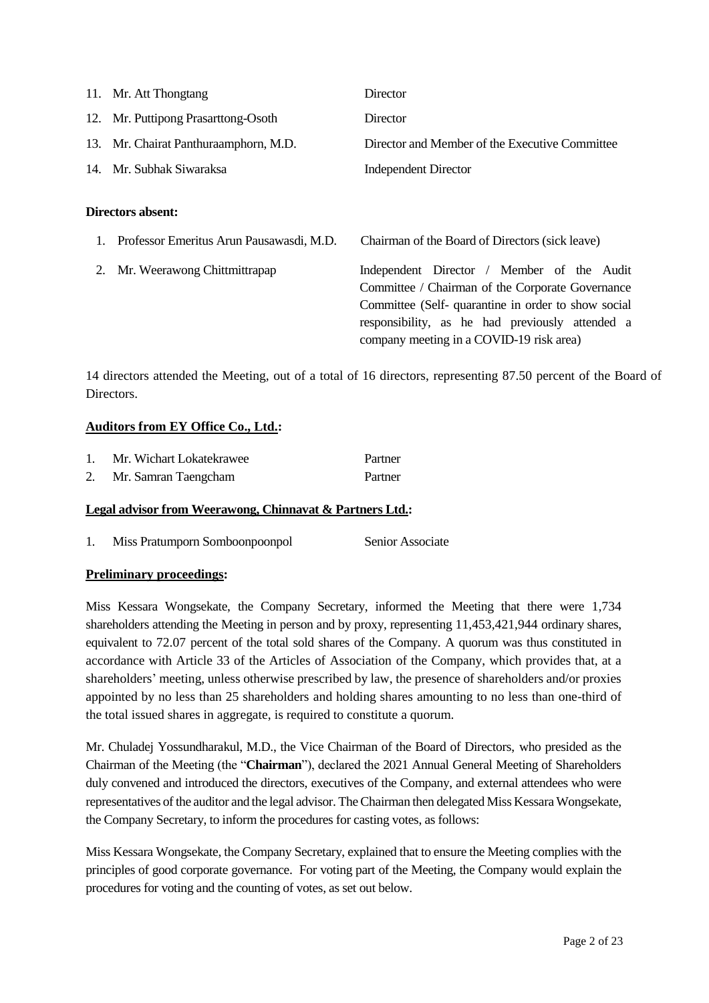|    | 11. Mr. Att Thongtang                    | Director                                                                                                                                                                                                                                            |
|----|------------------------------------------|-----------------------------------------------------------------------------------------------------------------------------------------------------------------------------------------------------------------------------------------------------|
|    | 12. Mr. Puttipong Prasarttong-Osoth      | Director                                                                                                                                                                                                                                            |
|    | 13. Mr. Chairat Panthuraamphorn, M.D.    | Director and Member of the Executive Committee                                                                                                                                                                                                      |
|    | 14. Mr. Subhak Siwaraksa                 | <b>Independent Director</b>                                                                                                                                                                                                                         |
|    | Directors absent:                        |                                                                                                                                                                                                                                                     |
|    | Professor Emeritus Arun Pausawasdi, M.D. | Chairman of the Board of Directors (sick leave)                                                                                                                                                                                                     |
| 2. | Mr. Weerawong Chittmittrapap             | Independent Director / Member of the Audit<br>Committee / Chairman of the Corporate Governance<br>Committee (Self-quarantine in order to show social<br>responsibility, as he had previously attended a<br>company meeting in a COVID-19 risk area) |

14 directors attended the Meeting, out of a total of 16 directors, representing 87.50 percent of the Board of Directors.

#### **Auditors from EY Office Co., Ltd.:**

| Mr. Wichart Lokatekrawee | Partner |
|--------------------------|---------|
| Mr. Samran Taengcham     | Partner |

#### **Legal advisor from Weerawong, Chinnavat & Partners Ltd.:**

1. Miss Pratumporn Somboonpoonpol Senior Associate

#### **Preliminary proceedings:**

Miss Kessara Wongsekate, the Company Secretary, informed the Meeting that there were 1,734 shareholders attending the Meeting in person and by proxy, representing 11,453,421,944 ordinary shares, equivalent to 72.07 percent of the total sold shares of the Company. A quorum was thus constituted in accordance with Article 33 of the Articles of Association of the Company, which provides that, at a shareholders' meeting, unless otherwise prescribed by law, the presence of shareholders and/or proxies appointed by no less than 25 shareholders and holding shares amounting to no less than one-third of the total issued shares in aggregate, is required to constitute a quorum.

Mr. Chuladej Yossundharakul, M.D., the Vice Chairman of the Board of Directors, who presided as the Chairman of the Meeting (the "**Chairman**"), declared the 2021 Annual General Meeting of Shareholders duly convened and introduced the directors, executives of the Company, and external attendees who were representatives of the auditor and the legal advisor. The Chairman then delegated Miss Kessara Wongsekate, the Company Secretary, to inform the procedures for casting votes, as follows:

Miss Kessara Wongsekate, the Company Secretary, explained that to ensure the Meeting complies with the principles of good corporate governance. For voting part of the Meeting, the Company would explain the procedures for voting and the counting of votes, as set out below.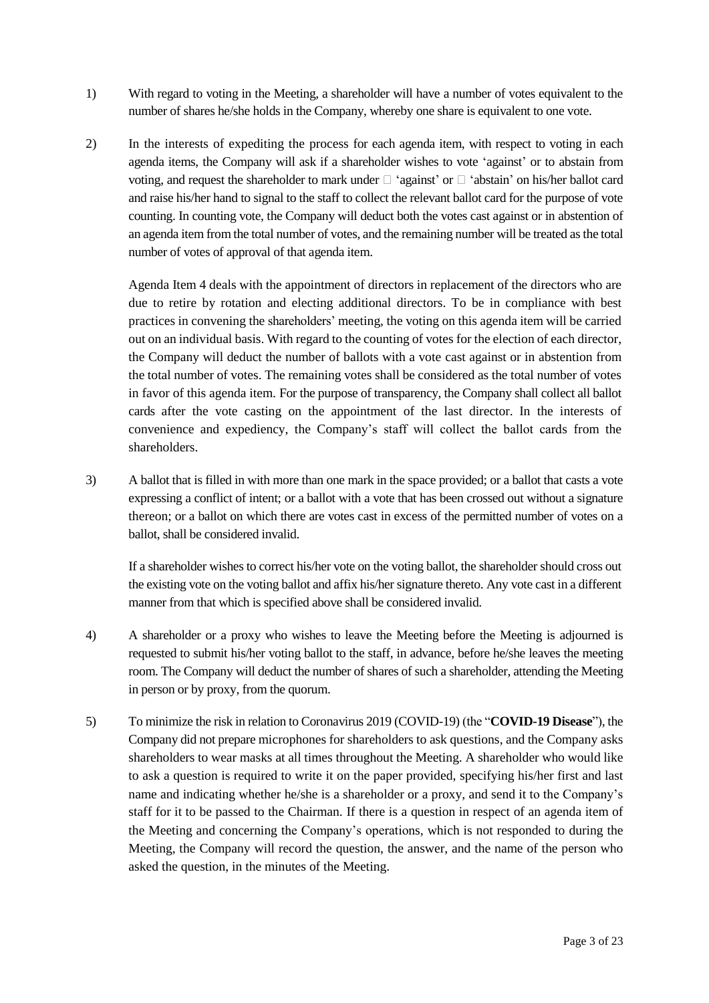- 1) With regard to voting in the Meeting, a shareholder will have a number of votes equivalent to the number of shares he/she holds in the Company, whereby one share is equivalent to one vote.
- 2) In the interests of expediting the process for each agenda item, with respect to voting in each agenda items, the Company will ask if a shareholder wishes to vote 'against' or to abstain from voting, and request the shareholder to mark under  $\Box$  'against' or  $\Box$  'abstain' on his/her ballot card and raise his/her hand to signal to the staff to collect the relevant ballot card for the purpose of vote counting. In counting vote, the Company will deduct both the votes cast against or in abstention of an agenda item from the total number of votes, and the remaining number will be treated as the total number of votes of approval of that agenda item.

Agenda Item 4 deals with the appointment of directors in replacement of the directors who are due to retire by rotation and electing additional directors. To be in compliance with best practices in convening the shareholders' meeting, the voting on this agenda item will be carried out on an individual basis. With regard to the counting of votes for the election of each director, the Company will deduct the number of ballots with a vote cast against or in abstention from the total number of votes. The remaining votes shall be considered as the total number of votes in favor of this agenda item. For the purpose of transparency, the Company shall collect all ballot cards after the vote casting on the appointment of the last director. In the interests of convenience and expediency, the Company's staff will collect the ballot cards from the shareholders.

3) A ballot that is filled in with more than one mark in the space provided; or a ballot that casts a vote expressing a conflict of intent; or a ballot with a vote that has been crossed out without a signature thereon; or a ballot on which there are votes cast in excess of the permitted number of votes on a ballot, shall be considered invalid.

If a shareholder wishes to correct his/her vote on the voting ballot, the shareholder should cross out the existing vote on the voting ballot and affix his/her signature thereto. Any vote cast in a different manner from that which is specified above shall be considered invalid.

- 4) A shareholder or a proxy who wishes to leave the Meeting before the Meeting is adjourned is requested to submit his/her voting ballot to the staff, in advance, before he/she leaves the meeting room. The Company will deduct the number of shares of such a shareholder, attending the Meeting in person or by proxy, from the quorum.
- 5) To minimize the risk in relation to Coronavirus 2019 (COVID-19) (the "**COVID-19 Disease**"), the Company did not prepare microphones for shareholders to ask questions, and the Company asks shareholders to wear masks at all times throughout the Meeting. A shareholder who would like to ask a question is required to write it on the paper provided, specifying his/her first and last name and indicating whether he/she is a shareholder or a proxy, and send it to the Company's staff for it to be passed to the Chairman. If there is a question in respect of an agenda item of the Meeting and concerning the Company's operations, which is not responded to during the Meeting, the Company will record the question, the answer, and the name of the person who asked the question, in the minutes of the Meeting.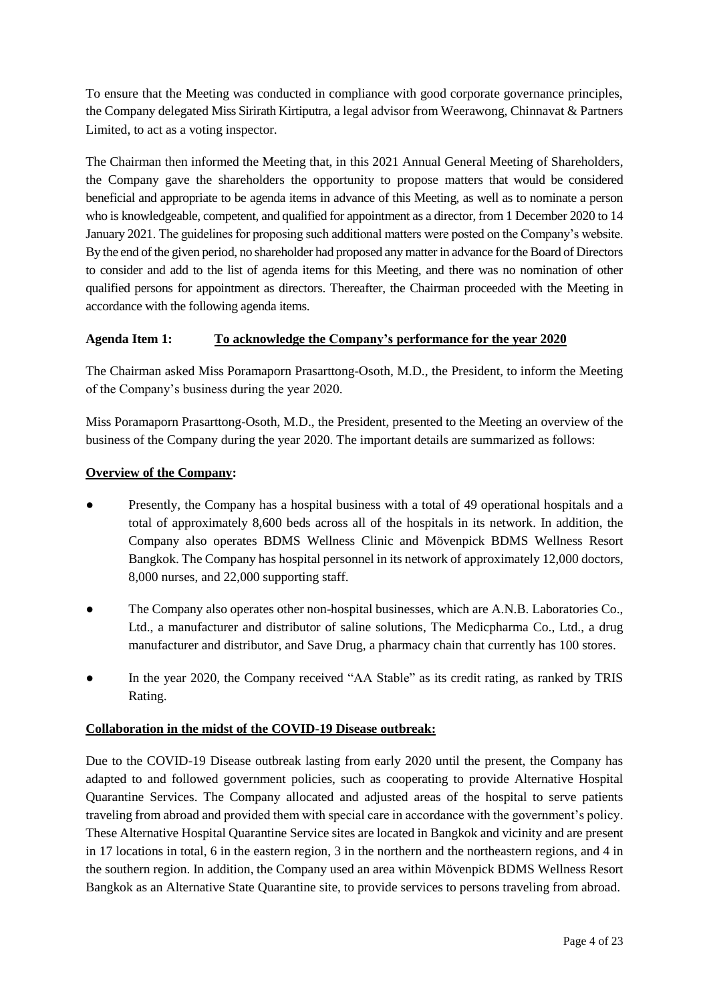To ensure that the Meeting was conducted in compliance with good corporate governance principles, the Company delegated Miss Sirirath Kirtiputra, a legal advisor from Weerawong, Chinnavat & Partners Limited, to act as a voting inspector.

The Chairman then informed the Meeting that, in this 2021 Annual General Meeting of Shareholders, the Company gave the shareholders the opportunity to propose matters that would be considered beneficial and appropriate to be agenda items in advance of this Meeting, as well as to nominate a person who is knowledgeable, competent, and qualified for appointment as a director, from 1 December 2020 to 14 January 2021. The guidelines for proposing such additional matters were posted on the Company's website. By the end of the given period, no shareholder had proposed any matter in advance for the Board of Directors to consider and add to the list of agenda items for this Meeting, and there was no nomination of other qualified persons for appointment as directors. Thereafter, the Chairman proceeded with the Meeting in accordance with the following agenda items.

## **Agenda Item 1: To acknowledge the Company's performance for the year 2020**

The Chairman asked Miss Poramaporn Prasarttong-Osoth, M.D., the President, to inform the Meeting of the Company's business during the year 2020.

Miss Poramaporn Prasarttong-Osoth, M.D., the President, presented to the Meeting an overview of the business of the Company during the year 2020. The important details are summarized as follows:

### **Overview of the Company:**

- Presently, the Company has a hospital business with a total of 49 operational hospitals and a total of approximately 8,600 beds across all of the hospitals in its network. In addition, the Company also operates BDMS Wellness Clinic and Mövenpick BDMS Wellness Resort Bangkok. The Company has hospital personnel in its network of approximately 12,000 doctors, 8,000 nurses, and 22,000 supporting staff.
- The Company also operates other non-hospital businesses, which are A.N.B. Laboratories Co., Ltd., a manufacturer and distributor of saline solutions, The Medicpharma Co., Ltd., a drug manufacturer and distributor, and Save Drug, a pharmacy chain that currently has 100 stores.
- In the year 2020, the Company received "AA Stable" as its credit rating, as ranked by TRIS Rating.

### **Collaboration in the midst of the COVID-19 Disease outbreak:**

Due to the COVID-19 Disease outbreak lasting from early 2020 until the present, the Company has adapted to and followed government policies, such as cooperating to provide Alternative Hospital Quarantine Services. The Company allocated and adjusted areas of the hospital to serve patients traveling from abroad and provided them with special care in accordance with the government's policy. These Alternative Hospital Quarantine Service sites are located in Bangkok and vicinity and are present in 17 locations in total, 6 in the eastern region, 3 in the northern and the northeastern regions, and 4 in the southern region. In addition, the Company used an area within Mövenpick BDMS Wellness Resort Bangkok as an Alternative State Quarantine site, to provide services to persons traveling from abroad.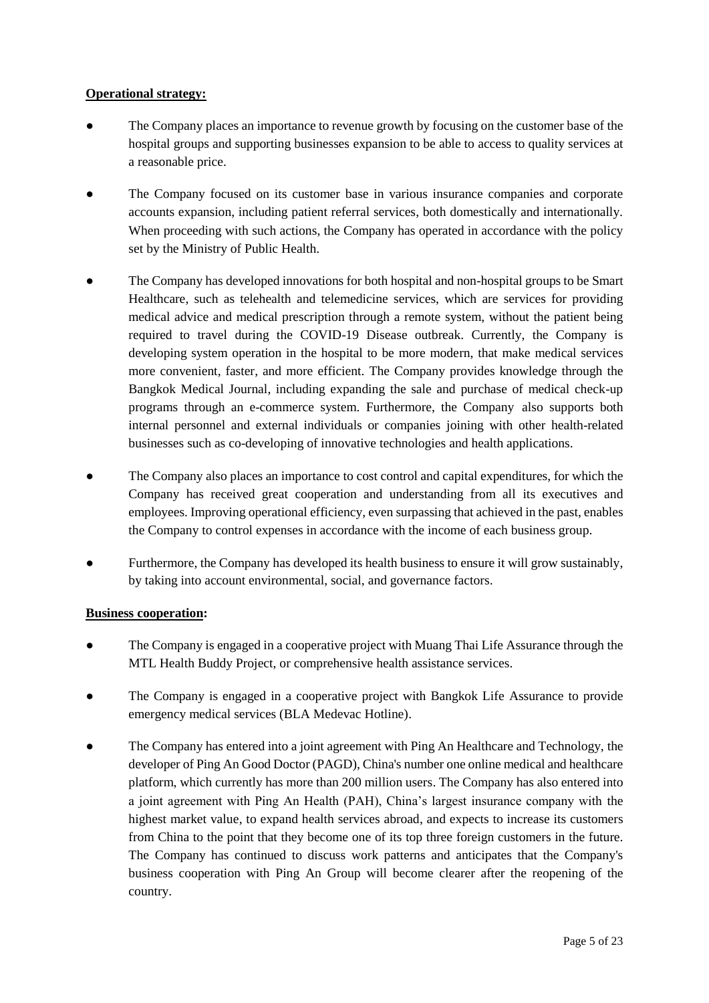#### **Operational strategy:**

- The Company places an importance to revenue growth by focusing on the customer base of the hospital groups and supporting businesses expansion to be able to access to quality services at a reasonable price.
- The Company focused on its customer base in various insurance companies and corporate accounts expansion, including patient referral services, both domestically and internationally. When proceeding with such actions, the Company has operated in accordance with the policy set by the Ministry of Public Health.
- The Company has developed innovations for both hospital and non-hospital groups to be Smart Healthcare, such as telehealth and telemedicine services, which are services for providing medical advice and medical prescription through a remote system, without the patient being required to travel during the COVID-19 Disease outbreak. Currently, the Company is developing system operation in the hospital to be more modern, that make medical services more convenient, faster, and more efficient. The Company provides knowledge through the Bangkok Medical Journal, including expanding the sale and purchase of medical check-up programs through an e-commerce system. Furthermore, the Company also supports both internal personnel and external individuals or companies joining with other health-related businesses such as co-developing of innovative technologies and health applications.
- The Company also places an importance to cost control and capital expenditures, for which the Company has received great cooperation and understanding from all its executives and employees. Improving operational efficiency, even surpassing that achieved in the past, enables the Company to control expenses in accordance with the income of each business group.
- Furthermore, the Company has developed its health business to ensure it will grow sustainably, by taking into account environmental, social, and governance factors.

### **Business cooperation:**

- The Company is engaged in a cooperative project with Muang Thai Life Assurance through the MTL Health Buddy Project, or comprehensive health assistance services.
- The Company is engaged in a cooperative project with Bangkok Life Assurance to provide emergency medical services (BLA Medevac Hotline).
- The Company has entered into a joint agreement with Ping An Healthcare and Technology, the developer of Ping An Good Doctor (PAGD), China's number one online medical and healthcare platform, which currently has more than 200 million users. The Company has also entered into a joint agreement with Ping An Health (PAH), China's largest insurance company with the highest market value, to expand health services abroad, and expects to increase its customers from China to the point that they become one of its top three foreign customers in the future. The Company has continued to discuss work patterns and anticipates that the Company's business cooperation with Ping An Group will become clearer after the reopening of the country.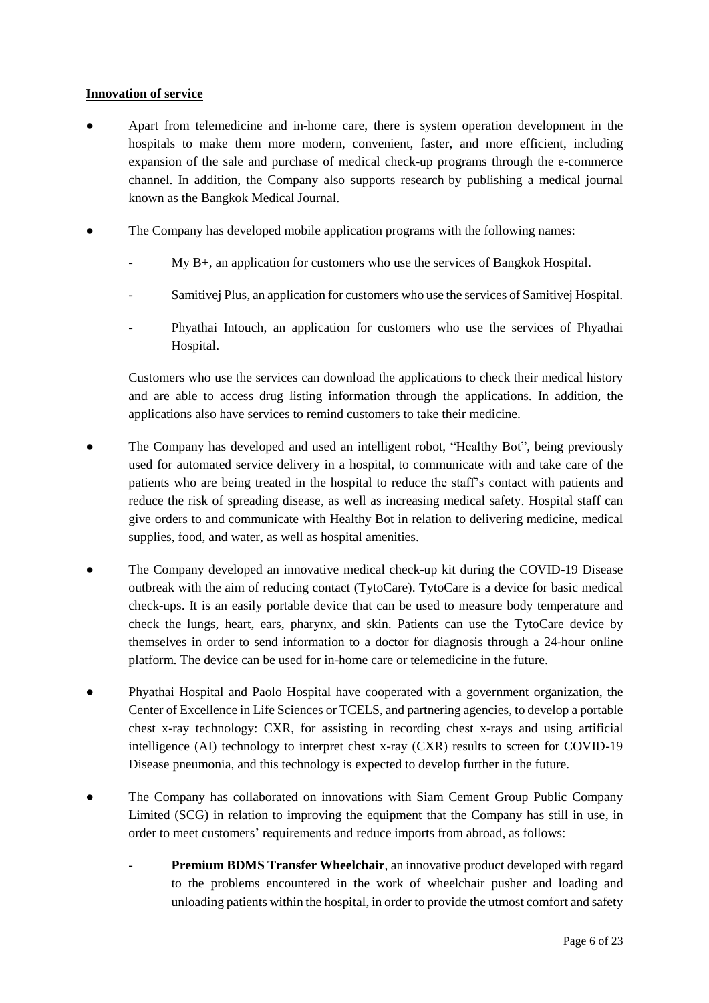#### **Innovation of service**

- Apart from telemedicine and in-home care, there is system operation development in the hospitals to make them more modern, convenient, faster, and more efficient, including expansion of the sale and purchase of medical check-up programs through the e-commerce channel. In addition, the Company also supports research by publishing a medical journal known as the Bangkok Medical Journal.
- The Company has developed mobile application programs with the following names:
	- $My B<sub>+</sub>$ , an application for customers who use the services of Bangkok Hospital.
	- Samitivej Plus, an application for customers who use the services of Samitivej Hospital.
	- Phyathai Intouch, an application for customers who use the services of Phyathai Hospital.

Customers who use the services can download the applications to check their medical history and are able to access drug listing information through the applications. In addition, the applications also have services to remind customers to take their medicine.

- The Company has developed and used an intelligent robot, "Healthy Bot", being previously used for automated service delivery in a hospital, to communicate with and take care of the patients who are being treated in the hospital to reduce the staff's contact with patients and reduce the risk of spreading disease, as well as increasing medical safety. Hospital staff can give orders to and communicate with Healthy Bot in relation to delivering medicine, medical supplies, food, and water, as well as hospital amenities.
- The Company developed an innovative medical check-up kit during the COVID-19 Disease outbreak with the aim of reducing contact (TytoCare). TytoCare is a device for basic medical check-ups. It is an easily portable device that can be used to measure body temperature and check the lungs, heart, ears, pharynx, and skin. Patients can use the TytoCare device by themselves in order to send information to a doctor for diagnosis through a 24-hour online platform. The device can be used for in-home care or telemedicine in the future.
- Phyathai Hospital and Paolo Hospital have cooperated with a government organization, the Center of Excellence in Life Sciences or TCELS, and partnering agencies, to develop a portable chest x-ray technology: CXR, for assisting in recording chest x-rays and using artificial intelligence (AI) technology to interpret chest x-ray (CXR) results to screen for COVID-19 Disease pneumonia, and this technology is expected to develop further in the future.
- The Company has collaborated on innovations with Siam Cement Group Public Company Limited (SCG) in relation to improving the equipment that the Company has still in use, in order to meet customers' requirements and reduce imports from abroad, as follows:
	- Premium BDMS Transfer Wheelchair, an innovative product developed with regard to the problems encountered in the work of wheelchair pusher and loading and unloading patients within the hospital, in order to provide the utmost comfort and safety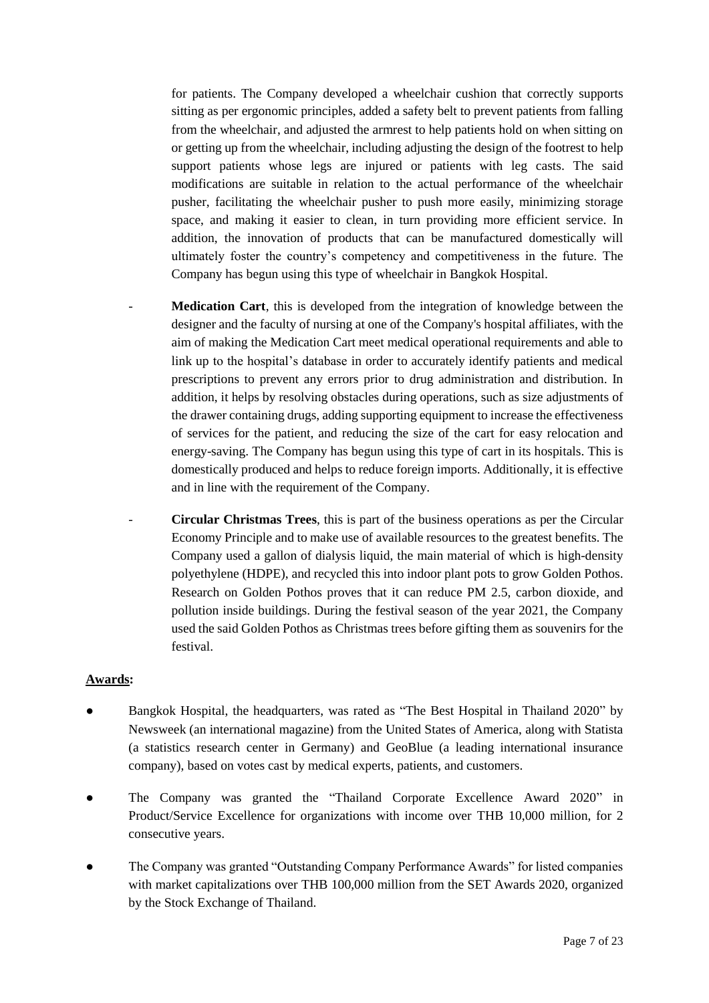for patients. The Company developed a wheelchair cushion that correctly supports sitting as per ergonomic principles, added a safety belt to prevent patients from falling from the wheelchair, and adjusted the armrest to help patients hold on when sitting on or getting up from the wheelchair, including adjusting the design of the footrest to help support patients whose legs are injured or patients with leg casts. The said modifications are suitable in relation to the actual performance of the wheelchair pusher, facilitating the wheelchair pusher to push more easily, minimizing storage space, and making it easier to clean, in turn providing more efficient service. In addition, the innovation of products that can be manufactured domestically will ultimately foster the country's competency and competitiveness in the future. The Company has begun using this type of wheelchair in Bangkok Hospital.

- Medication Cart, this is developed from the integration of knowledge between the designer and the faculty of nursing at one of the Company's hospital affiliates, with the aim of making the Medication Cart meet medical operational requirements and able to link up to the hospital's database in order to accurately identify patients and medical prescriptions to prevent any errors prior to drug administration and distribution. In addition, it helps by resolving obstacles during operations, such as size adjustments of the drawer containing drugs, adding supporting equipment to increase the effectiveness of services for the patient, and reducing the size of the cart for easy relocation and energy-saving. The Company has begun using this type of cart in its hospitals. This is domestically produced and helps to reduce foreign imports. Additionally, it is effective and in line with the requirement of the Company.
- **Circular Christmas Trees**, this is part of the business operations as per the Circular Economy Principle and to make use of available resources to the greatest benefits. The Company used a gallon of dialysis liquid, the main material of which is high-density polyethylene (HDPE), and recycled this into indoor plant pots to grow Golden Pothos. Research on Golden Pothos proves that it can reduce PM 2.5, carbon dioxide, and pollution inside buildings. During the festival season of the year 2021, the Company used the said Golden Pothos as Christmas trees before gifting them as souvenirs for the festival.

### **Awards:**

- Bangkok Hospital, the headquarters, was rated as "The Best Hospital in Thailand 2020" by Newsweek (an international magazine) from the United States of America, along with Statista (a statistics research center in Germany) and GeoBlue (a leading international insurance company), based on votes cast by medical experts, patients, and customers.
- The Company was granted the "Thailand Corporate Excellence Award 2020" in Product/Service Excellence for organizations with income over THB 10,000 million, for 2 consecutive years.
- The Company was granted "Outstanding Company Performance Awards" for listed companies with market capitalizations over THB 100,000 million from the SET Awards 2020, organized by the Stock Exchange of Thailand.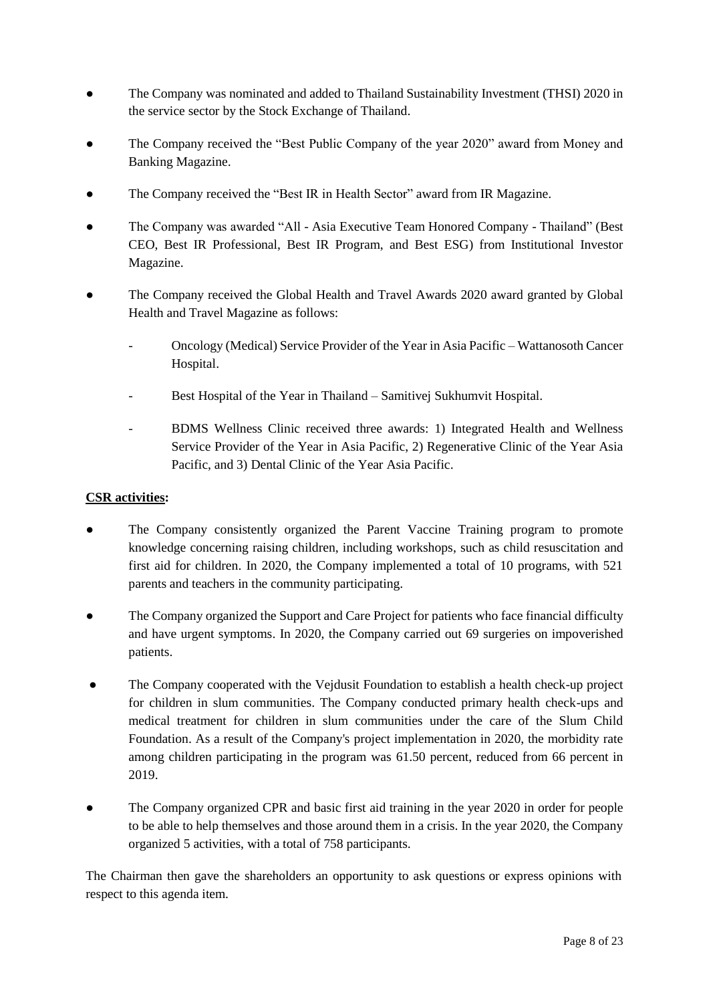- The Company was nominated and added to Thailand Sustainability Investment (THSI) 2020 in the service sector by the Stock Exchange of Thailand.
- The Company received the "Best Public Company of the year 2020" award from Money and Banking Magazine.
- The Company received the "Best IR in Health Sector" award from IR Magazine.
- The Company was awarded "All Asia Executive Team Honored Company Thailand" (Best CEO, Best IR Professional, Best IR Program, and Best ESG) from Institutional Investor Magazine.
- The Company received the Global Health and Travel Awards 2020 award granted by Global Health and Travel Magazine as follows:
	- Oncology (Medical) Service Provider of the Year in Asia Pacific Wattanosoth Cancer Hospital.
	- Best Hospital of the Year in Thailand Samitivej Sukhumvit Hospital.
	- BDMS Wellness Clinic received three awards: 1) Integrated Health and Wellness Service Provider of the Year in Asia Pacific, 2) Regenerative Clinic of the Year Asia Pacific, and 3) Dental Clinic of the Year Asia Pacific.

#### **CSR activities:**

- The Company consistently organized the Parent Vaccine Training program to promote knowledge concerning raising children, including workshops, such as child resuscitation and first aid for children. In 2020, the Company implemented a total of 10 programs, with 521 parents and teachers in the community participating.
- The Company organized the Support and Care Project for patients who face financial difficulty and have urgent symptoms. In 2020, the Company carried out 69 surgeries on impoverished patients.
- The Company cooperated with the Vejdusit Foundation to establish a health check-up project for children in slum communities. The Company conducted primary health check-ups and medical treatment for children in slum communities under the care of the Slum Child Foundation. As a result of the Company's project implementation in 2020, the morbidity rate among children participating in the program was 61.50 percent, reduced from 66 percent in 2019.
- The Company organized CPR and basic first aid training in the year 2020 in order for people to be able to help themselves and those around them in a crisis. In the year 2020, the Company organized 5 activities, with a total of 758 participants.

The Chairman then gave the shareholders an opportunity to ask questions or express opinions with respect to this agenda item.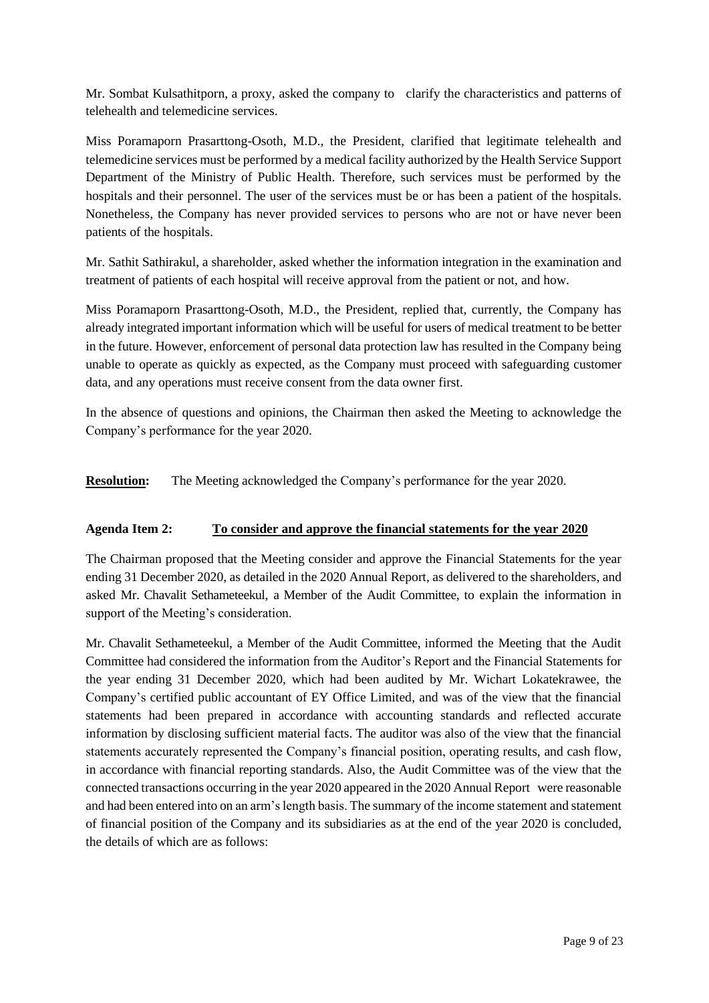Mr. Sombat Kulsathitporn, a proxy, asked the company to clarify the characteristics and patterns of telehealth and telemedicine services.

Miss Poramaporn Prasarttong-Osoth, M.D., the President, clarified that legitimate telehealth and telemedicine services must be performed by a medical facility authorized by the Health Service Support Department of the Ministry of Public Health. Therefore, such services must be performed by the hospitals and their personnel. The user of the services must be or has been a patient of the hospitals. Nonetheless, the Company has never provided services to persons who are not or have never been patients of the hospitals.

Mr. Sathit Sathirakul, a shareholder, asked whether the information integration in the examination and treatment of patients of each hospital will receive approval from the patient or not, and how.

Miss Poramaporn Prasarttong-Osoth, M.D., the President, replied that, currently, the Company has already integrated important information which will be useful for users of medical treatment to be better in the future. However, enforcement of personal data protection law has resulted in the Company being unable to operate as quickly as expected, as the Company must proceed with safeguarding customer data, and any operations must receive consent from the data owner first.

In the absence of questions and opinions, the Chairman then asked the Meeting to acknowledge the Company's performance for the year 2020.

**Resolution:** The Meeting acknowledged the Company's performance for the year 2020.

### **Agenda Item 2: To consider and approve the financial statements for the year 2020**

The Chairman proposed that the Meeting consider and approve the Financial Statements for the year ending 31 December 2020, as detailed in the 2020 Annual Report, as delivered to the shareholders, and asked Mr. Chavalit Sethameteekul, a Member of the Audit Committee, to explain the information in support of the Meeting's consideration.

Mr. Chavalit Sethameteekul, a Member of the Audit Committee, informed the Meeting that the Audit Committee had considered the information from the Auditor's Report and the Financial Statements for the year ending 31 December 2020, which had been audited by Mr. Wichart Lokatekrawee, the Company's certified public accountant of EY Office Limited, and was of the view that the financial statements had been prepared in accordance with accounting standards and reflected accurate information by disclosing sufficient material facts. The auditor was also of the view that the financial statements accurately represented the Company's financial position, operating results, and cash flow, in accordance with financial reporting standards. Also, the Audit Committee was of the view that the connected transactions occurring in the year 2020 appeared in the 2020 Annual Report were reasonable and had been entered into on an arm's length basis. The summary of the income statement and statement of financial position of the Company and its subsidiaries as at the end of the year 2020 is concluded, the details of which are as follows: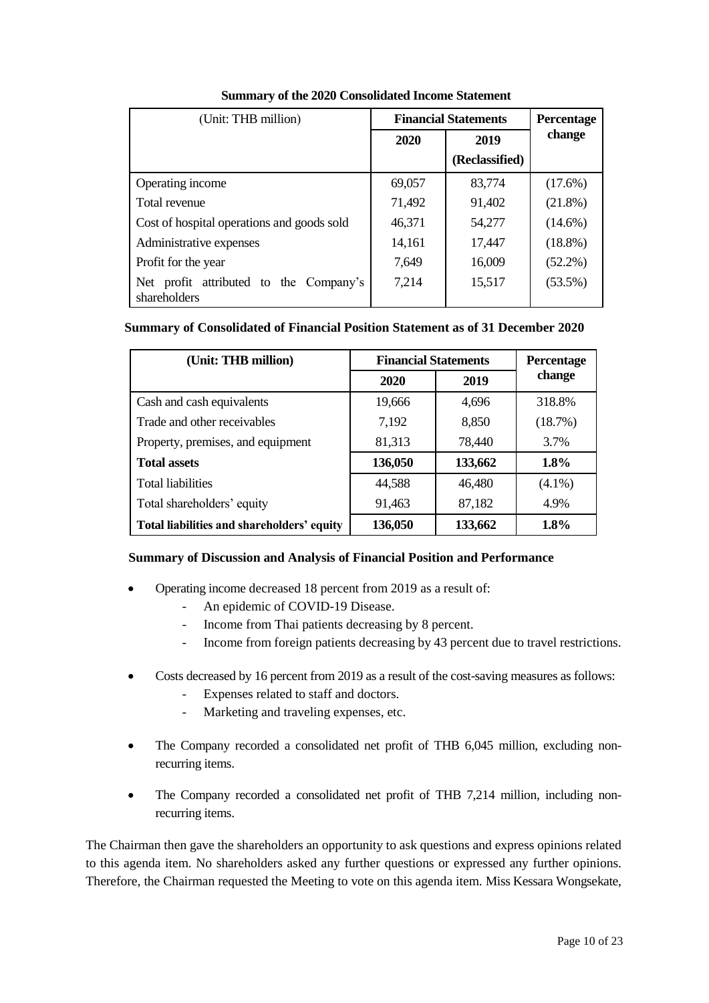| (Unit: THB million)                                        | <b>Financial Statements</b> |                | <b>Percentage</b> |
|------------------------------------------------------------|-----------------------------|----------------|-------------------|
|                                                            | 2019<br>2020                |                | change            |
|                                                            |                             | (Reclassified) |                   |
| Operating income                                           | 69,057                      | 83,774         | (17.6%)           |
| Total revenue                                              | 71,492                      | 91,402         | $(21.8\%)$        |
| Cost of hospital operations and goods sold                 | 46,371                      | 54,277         | $(14.6\%)$        |
| Administrative expenses                                    | 14,161                      | 17,447         | $(18.8\%)$        |
| Profit for the year                                        | 7,649                       | 16,009         | $(52.2\%)$        |
| profit attributed to the Company's<br>Net.<br>shareholders | 7,214                       | 15,517         | $(53.5\%)$        |

## **Summary of the 2020 Consolidated Income Statement**

#### **Summary of Consolidated of Financial Position Statement as of 31 December 2020**

| (Unit: THB million)                        | <b>Financial Statements</b> | Percentage |           |
|--------------------------------------------|-----------------------------|------------|-----------|
|                                            | 2020                        | 2019       | change    |
| Cash and cash equivalents                  | 19,666                      | 4,696      | 318.8%    |
| Trade and other receivables                | 7,192                       | 8,850      | (18.7%)   |
| Property, premises, and equipment          | 81,313                      | 78,440     | 3.7%      |
| <b>Total assets</b>                        | 136,050                     | 133,662    | 1.8%      |
| <b>Total liabilities</b>                   | 44,588                      | 46,480     | $(4.1\%)$ |
| Total shareholders' equity                 | 91,463                      | 87,182     | 4.9%      |
| Total liabilities and shareholders' equity | 136,050                     | 133,662    | 1.8%      |

### **Summary of Discussion and Analysis of Financial Position and Performance**

- Operating income decreased 18 percent from 2019 as a result of:
	- An epidemic of COVID-19 Disease.
	- Income from Thai patients decreasing by 8 percent.
	- Income from foreign patients decreasing by 43 percent due to travel restrictions.
- Costs decreased by 16 percent from 2019 as a result of the cost-saving measures as follows:
	- Expenses related to staff and doctors.
	- Marketing and traveling expenses, etc.
- The Company recorded a consolidated net profit of THB 6,045 million, excluding nonrecurring items.
- The Company recorded a consolidated net profit of THB 7,214 million, including nonrecurring items.

The Chairman then gave the shareholders an opportunity to ask questions and express opinions related to this agenda item. No shareholders asked any further questions or expressed any further opinions. Therefore, the Chairman requested the Meeting to vote on this agenda item. Miss Kessara Wongsekate,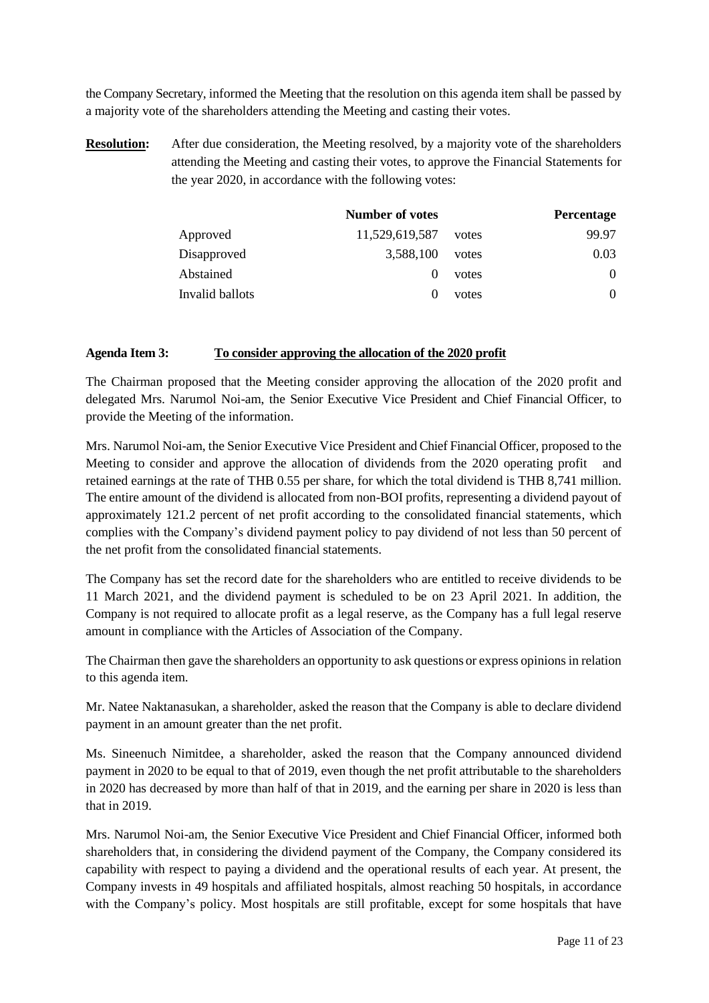the Company Secretary, informed the Meeting that the resolution on this agenda item shall be passed by a majority vote of the shareholders attending the Meeting and casting their votes.

**Resolution:** After due consideration, the Meeting resolved, by a majority vote of the shareholders attending the Meeting and casting their votes, to approve the Financial Statements for the year 2020, in accordance with the following votes:

|                 | <b>Number of votes</b> |       | Percentage |
|-----------------|------------------------|-------|------------|
| Approved        | 11,529,619,587         | votes | 99.97      |
| Disapproved     | 3,588,100              | votes | 0.03       |
| Abstained       |                        | votes | $\Omega$   |
| Invalid ballots |                        | votes | 0          |

#### **Agenda Item 3: To consider approving the allocation of the 2020 profit**

The Chairman proposed that the Meeting consider approving the allocation of the 2020 profit and delegated Mrs. Narumol Noi-am, the Senior Executive Vice President and Chief Financial Officer, to provide the Meeting of the information.

Mrs. Narumol Noi-am, the Senior Executive Vice President and Chief Financial Officer, proposed to the Meeting to consider and approve the allocation of dividends from the 2020 operating profit and retained earnings at the rate of THB 0.55 per share, for which the total dividend is THB 8,741 million. The entire amount of the dividend is allocated from non-BOI profits, representing a dividend payout of approximately 121.2 percent of net profit according to the consolidated financial statements, which complies with the Company's dividend payment policy to pay dividend of not less than 50 percent of the net profit from the consolidated financial statements.

The Company has set the record date for the shareholders who are entitled to receive dividends to be 11 March 2021, and the dividend payment is scheduled to be on 23 April 2021. In addition, the Company is not required to allocate profit as a legal reserve, as the Company has a full legal reserve amount in compliance with the Articles of Association of the Company.

The Chairman then gave the shareholders an opportunity to ask questions or express opinions in relation to this agenda item.

Mr. Natee Naktanasukan, a shareholder, asked the reason that the Company is able to declare dividend payment in an amount greater than the net profit.

Ms. Sineenuch Nimitdee, a shareholder, asked the reason that the Company announced dividend payment in 2020 to be equal to that of 2019, even though the net profit attributable to the shareholders in 2020 has decreased by more than half of that in 2019, and the earning per share in 2020 is less than that in 2019.

Mrs. Narumol Noi-am, the Senior Executive Vice President and Chief Financial Officer, informed both shareholders that, in considering the dividend payment of the Company, the Company considered its capability with respect to paying a dividend and the operational results of each year. At present, the Company invests in 49 hospitals and affiliated hospitals, almost reaching 50 hospitals, in accordance with the Company's policy. Most hospitals are still profitable, except for some hospitals that have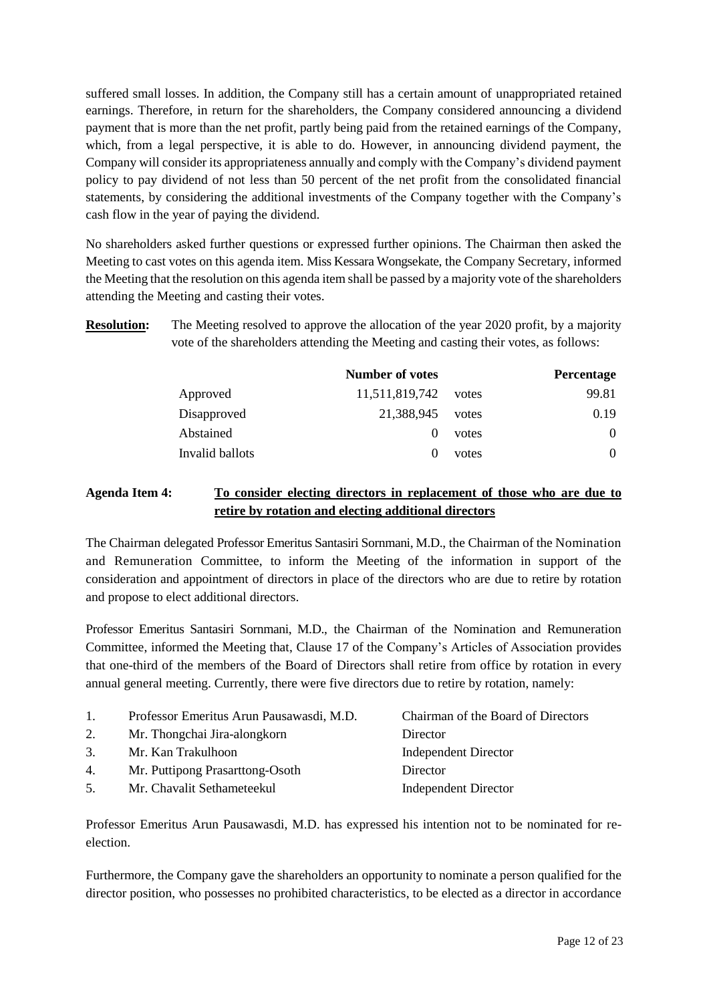suffered small losses. In addition, the Company still has a certain amount of unappropriated retained earnings. Therefore, in return for the shareholders, the Company considered announcing a dividend payment that is more than the net profit, partly being paid from the retained earnings of the Company, which, from a legal perspective, it is able to do. However, in announcing dividend payment, the Company will consider its appropriateness annually and comply with the Company's dividend payment policy to pay dividend of not less than 50 percent of the net profit from the consolidated financial statements, by considering the additional investments of the Company together with the Company's cash flow in the year of paying the dividend.

No shareholders asked further questions or expressed further opinions. The Chairman then asked the Meeting to cast votes on this agenda item. Miss Kessara Wongsekate, the Company Secretary, informed the Meeting that the resolution on this agenda item shall be passed by a majority vote of the shareholders attending the Meeting and casting their votes.

**Resolution:** The Meeting resolved to approve the allocation of the year 2020 profit, by a majority vote of the shareholders attending the Meeting and casting their votes, as follows:

|                 | <b>Number of votes</b> |       | Percentage |
|-----------------|------------------------|-------|------------|
| Approved        | 11,511,819,742         | votes | 99.81      |
| Disapproved     | 21,388,945             | votes | 0.19       |
| Abstained       |                        | votes | $\Omega$   |
| Invalid ballots |                        | votes | 0          |

## **Agenda Item 4: To consider electing directors in replacement of those who are due to retire by rotation and electing additional directors**

The Chairman delegated Professor Emeritus Santasiri Sornmani, M.D., the Chairman of the Nomination and Remuneration Committee, to inform the Meeting of the information in support of the consideration and appointment of directors in place of the directors who are due to retire by rotation and propose to elect additional directors.

Professor Emeritus Santasiri Sornmani, M.D., the Chairman of the Nomination and Remuneration Committee, informed the Meeting that, Clause 17 of the Company's Articles of Association provides that one-third of the members of the Board of Directors shall retire from office by rotation in every annual general meeting. Currently, there were five directors due to retire by rotation, namely:

| 1. | Professor Emeritus Arun Pausawasdi, M.D. | Chairman of the Board of Directors |
|----|------------------------------------------|------------------------------------|
| 2. | Mr. Thongchai Jira-alongkorn             | Director                           |
| 3. | Mr. Kan Trakulhoon                       | <b>Independent Director</b>        |
| 4. | Mr. Puttipong Prasarttong-Osoth          | Director                           |
| 5. | Mr. Chavalit Sethameteekul               | <b>Independent Director</b>        |
|    |                                          |                                    |

Professor Emeritus Arun Pausawasdi, M.D. has expressed his intention not to be nominated for reelection.

Furthermore, the Company gave the shareholders an opportunity to nominate a person qualified for the director position, who possesses no prohibited characteristics, to be elected as a director in accordance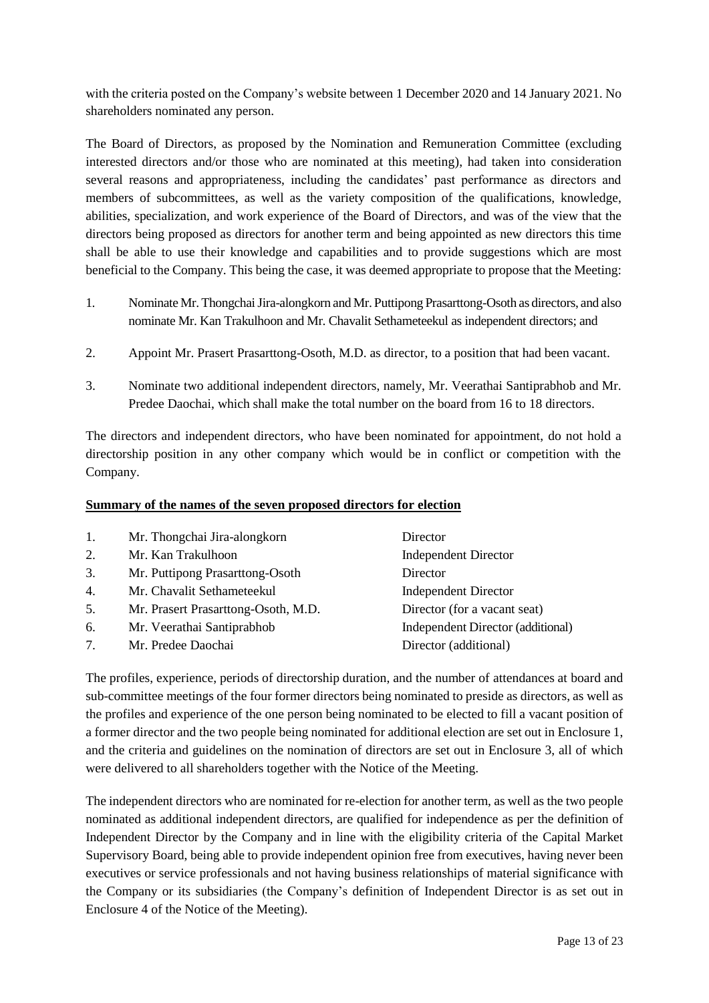with the criteria posted on the Company's website between 1 December 2020 and 14 January 2021. No shareholders nominated any person.

The Board of Directors, as proposed by the Nomination and Remuneration Committee (excluding interested directors and/or those who are nominated at this meeting), had taken into consideration several reasons and appropriateness, including the candidates' past performance as directors and members of subcommittees, as well as the variety composition of the qualifications, knowledge, abilities, specialization, and work experience of the Board of Directors, and was of the view that the directors being proposed as directors for another term and being appointed as new directors this time shall be able to use their knowledge and capabilities and to provide suggestions which are most beneficial to the Company. This being the case, it was deemed appropriate to propose that the Meeting:

- 1. Nominate Mr. Thongchai Jira-alongkorn and Mr. Puttipong Prasarttong-Osoth as directors, and also nominate Mr. Kan Trakulhoon and Mr. Chavalit Sethameteekul as independent directors; and
- 2. Appoint Mr. Prasert Prasarttong-Osoth, M.D. as director, to a position that had been vacant.
- 3. Nominate two additional independent directors, namely, Mr. Veerathai Santiprabhob and Mr. Predee Daochai, which shall make the total number on the board from 16 to 18 directors.

The directors and independent directors, who have been nominated for appointment, do not hold a directorship position in any other company which would be in conflict or competition with the Company.

#### **Summary of the names of the seven proposed directors for election**

| 1. | Mr. Thongchai Jira-alongkorn        | Director                          |
|----|-------------------------------------|-----------------------------------|
| 2. | Mr. Kan Trakulhoon                  | <b>Independent Director</b>       |
| 3. | Mr. Puttipong Prasarttong-Osoth     | Director                          |
| 4. | Mr. Chavalit Sethameteekul          | <b>Independent Director</b>       |
| 5. | Mr. Prasert Prasarttong-Osoth, M.D. | Director (for a vacant seat)      |
| 6. | Mr. Veerathai Santiprabhob          | Independent Director (additional) |
| 7. | Mr. Predee Daochai                  | Director (additional)             |

The profiles, experience, periods of directorship duration, and the number of attendances at board and sub-committee meetings of the four former directors being nominated to preside as directors, as well as the profiles and experience of the one person being nominated to be elected to fill a vacant position of a former director and the two people being nominated for additional election are set out in Enclosure 1, and the criteria and guidelines on the nomination of directors are set out in Enclosure 3, all of which were delivered to all shareholders together with the Notice of the Meeting.

The independent directors who are nominated for re-election for another term, as well as the two people nominated as additional independent directors, are qualified for independence as per the definition of Independent Director by the Company and in line with the eligibility criteria of the Capital Market Supervisory Board, being able to provide independent opinion free from executives, having never been executives or service professionals and not having business relationships of material significance with the Company or its subsidiaries (the Company's definition of Independent Director is as set out in Enclosure 4 of the Notice of the Meeting).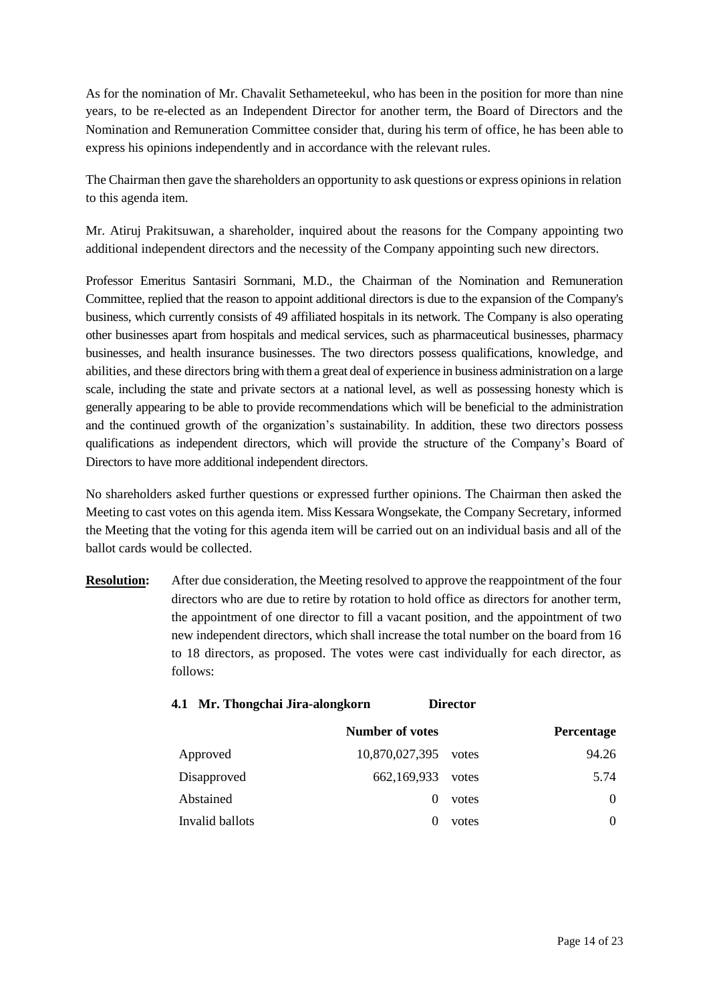As for the nomination of Mr. Chavalit Sethameteekul, who has been in the position for more than nine years, to be re-elected as an Independent Director for another term, the Board of Directors and the Nomination and Remuneration Committee consider that, during his term of office, he has been able to express his opinions independently and in accordance with the relevant rules.

The Chairman then gave the shareholders an opportunity to ask questions or express opinions in relation to this agenda item.

Mr. Atiruj Prakitsuwan, a shareholder, inquired about the reasons for the Company appointing two additional independent directors and the necessity of the Company appointing such new directors.

Professor Emeritus Santasiri Sornmani, M.D., the Chairman of the Nomination and Remuneration Committee, replied that the reason to appoint additional directors is due to the expansion of the Company's business, which currently consists of 49 affiliated hospitals in its network. The Company is also operating other businesses apart from hospitals and medical services, such as pharmaceutical businesses, pharmacy businesses, and health insurance businesses. The two directors possess qualifications, knowledge, and abilities, and these directors bring with them a great deal of experience in business administration on a large scale, including the state and private sectors at a national level, as well as possessing honesty which is generally appearing to be able to provide recommendations which will be beneficial to the administration and the continued growth of the organization's sustainability. In addition, these two directors possess qualifications as independent directors, which will provide the structure of the Company's Board of Directors to have more additional independent directors.

No shareholders asked further questions or expressed further opinions. The Chairman then asked the Meeting to cast votes on this agenda item. Miss Kessara Wongsekate, the Company Secretary, informed the Meeting that the voting for this agenda item will be carried out on an individual basis and all of the ballot cards would be collected.

**Resolution:** After due consideration, the Meeting resolved to approve the reappointment of the four directors who are due to retire by rotation to hold office as directors for another term, the appointment of one director to fill a vacant position, and the appointment of two new independent directors, which shall increase the total number on the board from 16 to 18 directors, as proposed. The votes were cast individually for each director, as follows:

| 4.1 Mr. Thongchai Jira-alongkorn |                 |                | <b>Director</b> |            |
|----------------------------------|-----------------|----------------|-----------------|------------|
|                                  | Number of votes |                |                 | Percentage |
| Approved                         |                 | 10,870,027,395 | votes           | 94.26      |
| Disapproved                      |                 | 662,169,933    | votes           | 5.74       |
| Abstained                        |                 | $\theta$       | votes           | $\theta$   |
| Invalid ballots                  |                 | $_{0}$         | votes           | $\theta$   |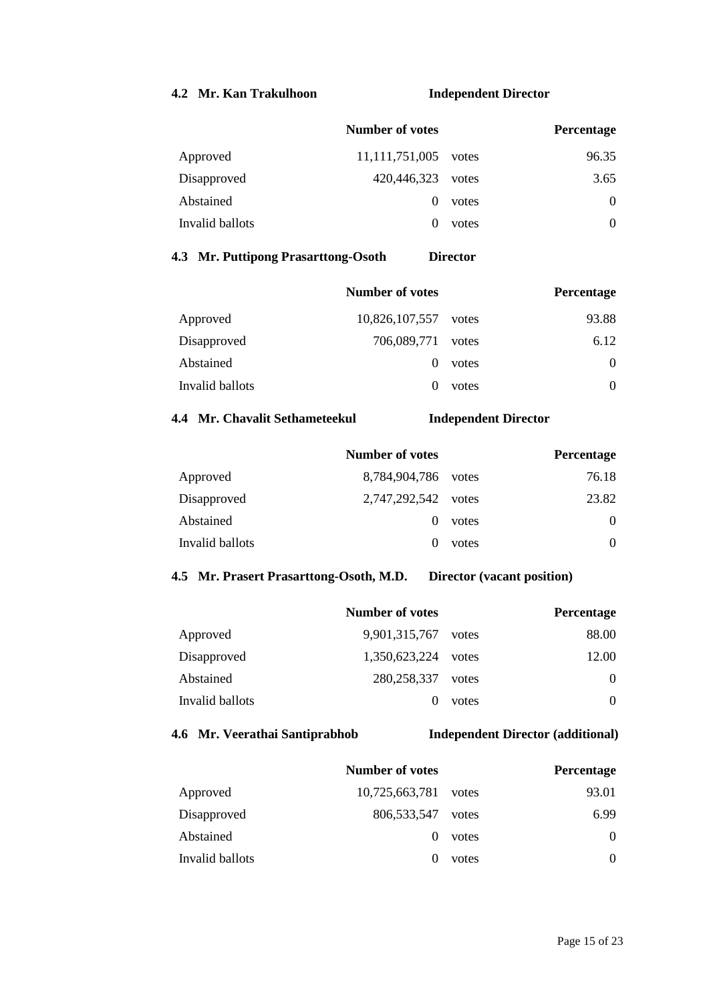## **4.2 Mr. Kan Trakulhoon Independent Director**

| <b>Number of votes</b> |       | <b>Percentage</b> |
|------------------------|-------|-------------------|
| 11, 111, 751, 005      | votes | 96.35             |
| 420,446,323            | votes | 3.65              |
| $\theta$               | votes | 0                 |
|                        | votes | $\Omega$          |
|                        |       |                   |

## **4.3 Mr. Puttipong Prasarttong-Osoth Director**

|                 | <b>Number of votes</b> |       | <b>Percentage</b> |
|-----------------|------------------------|-------|-------------------|
| Approved        | 10,826,107,557         | votes | 93.88             |
| Disapproved     | 706,089,771            | votes | 6.12              |
| Abstained       | $\theta$               | votes | $\Omega$          |
| Invalid ballots |                        | votes | 0                 |

#### **4.4 Mr. Chavalit Sethameteekul Independent Director**

|                 | <b>Number of votes</b> |       | <b>Percentage</b> |
|-----------------|------------------------|-------|-------------------|
| Approved        | 8,784,904,786          | votes | 76.18             |
| Disapproved     | 2,747,292,542          | votes | 23.82             |
| Abstained       |                        | votes | $\Omega$          |
| Invalid ballots |                        | votes | $\Omega$          |

#### **4.5 Mr. Prasert Prasarttong-Osoth, M.D. Director (vacant position)**

|                 | <b>Number of votes</b> |       | Percentage |
|-----------------|------------------------|-------|------------|
| Approved        | 9,901,315,767          | votes | 88.00      |
| Disapproved     | 1,350,623,224          | votes | 12.00      |
| Abstained       | 280, 258, 337          | votes | $\Omega$   |
| Invalid ballots |                        | votes | 0          |

## **4.6 Mr. Veerathai Santiprabhob Independent Director (additional)**

|                 | <b>Number of votes</b> |       | Percentage |
|-----------------|------------------------|-------|------------|
| Approved        | 10,725,663,781         | votes | 93.01      |
| Disapproved     | 806, 533, 547          | votes | 6.99       |
| Abstained       | $\mathbf{0}$           | votes | $\Omega$   |
| Invalid ballots |                        | votes | $\Omega$   |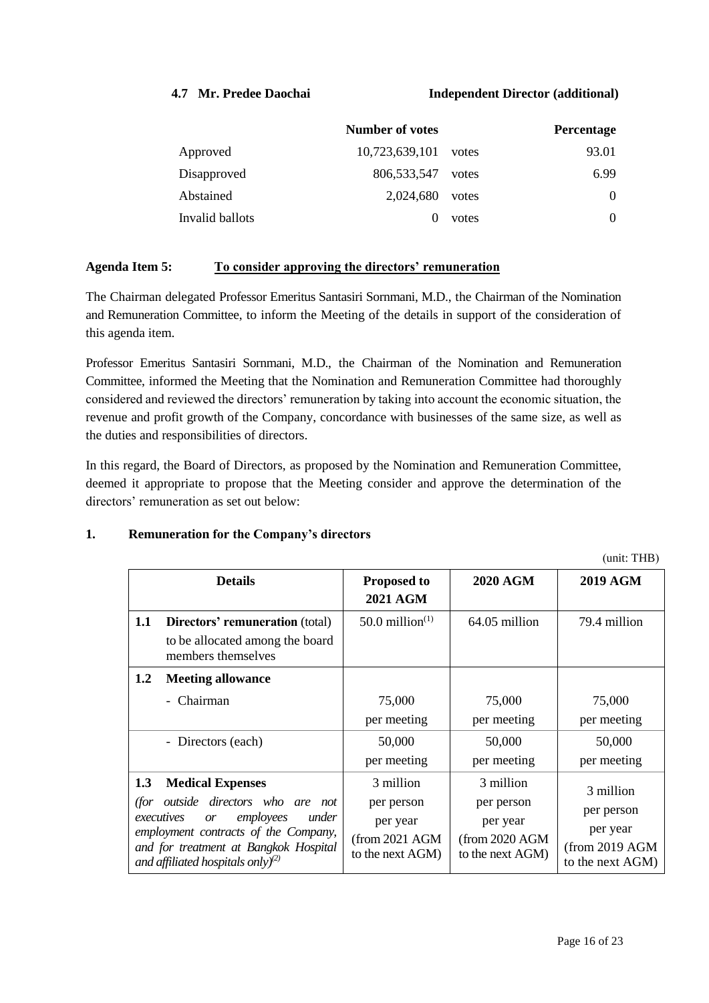#### **4.7 Mr. Predee Daochai Independent Director (additional)**

|                 | <b>Number of votes</b> |       | <b>Percentage</b> |
|-----------------|------------------------|-------|-------------------|
| Approved        | 10,723,639,101         | votes | 93.01             |
| Disapproved     | 806, 533, 547          | votes | 6.99              |
| Abstained       | 2,024,680              | votes | $\Omega$          |
| Invalid ballots |                        | votes | $\Omega$          |

#### **Agenda Item 5: To consider approving the directors' remuneration**

The Chairman delegated Professor Emeritus Santasiri Sornmani, M.D., the Chairman of the Nomination and Remuneration Committee, to inform the Meeting of the details in support of the consideration of this agenda item.

Professor Emeritus Santasiri Sornmani, M.D., the Chairman of the Nomination and Remuneration Committee, informed the Meeting that the Nomination and Remuneration Committee had thoroughly considered and reviewed the directors' remuneration by taking into account the economic situation, the revenue and profit growth of the Company, concordance with businesses of the same size, as well as the duties and responsibilities of directors.

In this regard, the Board of Directors, as proposed by the Nomination and Remuneration Committee, deemed it appropriate to propose that the Meeting consider and approve the determination of the directors' remuneration as set out below:

#### **1. Remuneration for the Company's directors**

(unit: THB) **Details Proposed to 2021 AGM 2020 AGM 2019 AGM 1.1 Directors' remuneration** (total) to be allocated among the board members themselves  $50.0 \text{ million}^{(1)}$  64.05 million 79.4 million **1.2 Meeting allowance** - Chairman 25,000 per meeting 75,000 per meeting 75,000 per meeting - Directors (each) 50,000 per meeting 50,000 per meeting 50,000 per meeting **1.3 Medical Expenses** *(for outside directors who are not executives or employees under employment contracts of the Company, and for treatment at Bangkok Hospital and affiliated hospitals only)(2)* 3 million per person per year (from 2021 AGM to the next AGM) 3 million per person per year (from 2020 AGM to the next AGM) 3 million per person per year (from 2019 AGM to the next AGM)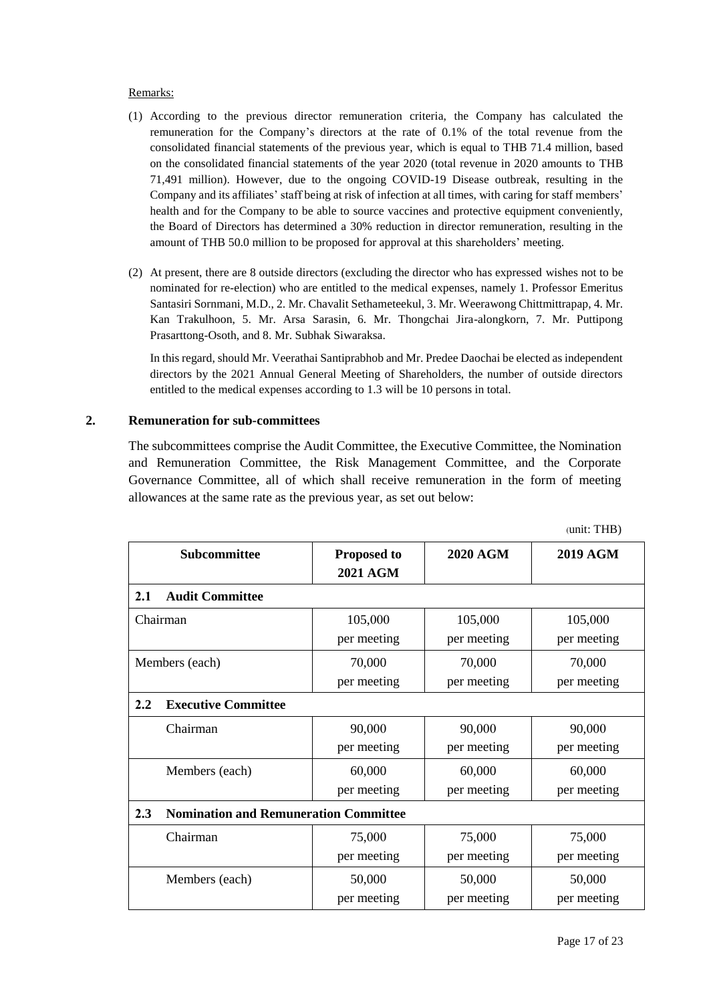#### Remarks:

- (1) According to the previous director remuneration criteria, the Company has calculated the remuneration for the Company's directors at the rate of 0.1% of the total revenue from the consolidated financial statements of the previous year, which is equal to THB 71.4 million, based on the consolidated financial statements of the year 2020 (total revenue in 2020 amounts to THB 71,491 million). However, due to the ongoing COVID-19 Disease outbreak, resulting in the Company and its affiliates' staff being at risk of infection at all times, with caring for staff members' health and for the Company to be able to source vaccines and protective equipment conveniently, the Board of Directors has determined a 30% reduction in director remuneration, resulting in the amount of THB 50.0 million to be proposed for approval at this shareholders' meeting.
- (2) At present, there are 8 outside directors (excluding the director who has expressed wishes not to be nominated for re-election) who are entitled to the medical expenses, namely 1. Professor Emeritus Santasiri Sornmani, M.D., 2. Mr. Chavalit Sethameteekul, 3. Mr. Weerawong Chittmittrapap, 4. Mr. Kan Trakulhoon, 5. Mr. Arsa Sarasin, 6. Mr. Thongchai Jira-alongkorn, 7. Mr. Puttipong Prasarttong-Osoth, and 8. Mr. Subhak Siwaraksa.

In this regard, should Mr. Veerathai Santiprabhob and Mr. Predee Daochai be elected as independent directors by the 2021 Annual General Meeting of Shareholders, the number of outside directors entitled to the medical expenses according to 1.3 will be 10 persons in total.

#### **2. Remuneration for sub-committees**

The subcommittees comprise the Audit Committee, the Executive Committee, the Nomination and Remuneration Committee, the Risk Management Committee, and the Corporate Governance Committee, all of which shall receive remuneration in the form of meeting allowances at the same rate as the previous year, as set out below:

|                                                     |                    |                 | $(u)$ . $(111)$ |  |
|-----------------------------------------------------|--------------------|-----------------|-----------------|--|
| Subcommittee                                        | <b>Proposed to</b> | <b>2020 AGM</b> | <b>2019 AGM</b> |  |
|                                                     | <b>2021 AGM</b>    |                 |                 |  |
| 2.1<br><b>Audit Committee</b>                       |                    |                 |                 |  |
| Chairman                                            | 105,000            | 105,000         | 105,000         |  |
|                                                     | per meeting        | per meeting     | per meeting     |  |
| Members (each)                                      | 70,000             | 70,000          | 70,000          |  |
|                                                     | per meeting        | per meeting     | per meeting     |  |
| <b>Executive Committee</b><br>2.2                   |                    |                 |                 |  |
| Chairman                                            | 90,000             | 90,000          | 90,000          |  |
|                                                     | per meeting        | per meeting     | per meeting     |  |
| Members (each)                                      | 60,000             | 60,000          | 60,000          |  |
|                                                     | per meeting        | per meeting     | per meeting     |  |
| <b>Nomination and Remuneration Committee</b><br>2.3 |                    |                 |                 |  |
| Chairman                                            | 75,000             | 75,000          | 75,000          |  |
|                                                     | per meeting        | per meeting     | per meeting     |  |
| Members (each)                                      | 50,000             | 50,000          | 50,000          |  |
|                                                     | per meeting        | per meeting     | per meeting     |  |

 $(mit: THD)$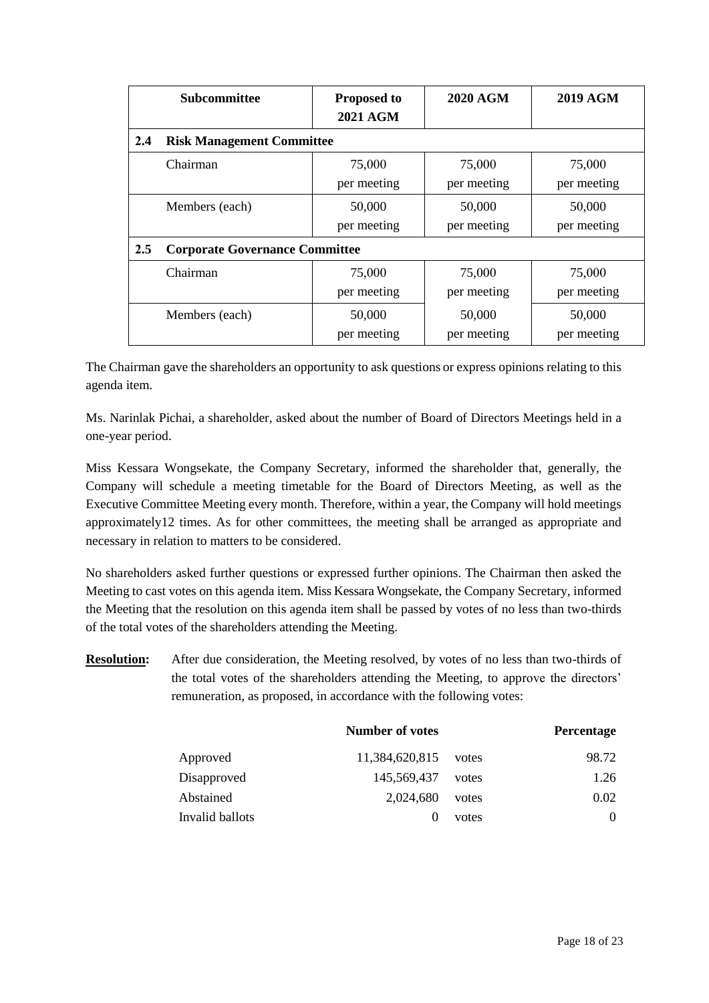|     | <b>Subcommittee</b>                   | <b>Proposed to</b><br><b>2021 AGM</b> | <b>2020 AGM</b>       | <b>2019 AGM</b>       |
|-----|---------------------------------------|---------------------------------------|-----------------------|-----------------------|
| 2.4 | <b>Risk Management Committee</b>      |                                       |                       |                       |
|     | Chairman                              | 75,000<br>per meeting                 | 75,000<br>per meeting | 75,000<br>per meeting |
|     | Members (each)                        | 50,000<br>per meeting                 | 50,000<br>per meeting | 50,000<br>per meeting |
| 2.5 | <b>Corporate Governance Committee</b> |                                       |                       |                       |
|     | Chairman                              | 75,000<br>per meeting                 | 75,000<br>per meeting | 75,000<br>per meeting |
|     | Members (each)                        | 50,000<br>per meeting                 | 50,000<br>per meeting | 50,000<br>per meeting |

The Chairman gave the shareholders an opportunity to ask questions or express opinions relating to this agenda item.

Ms. Narinlak Pichai, a shareholder, asked about the number of Board of Directors Meetings held in a one-year period.

Miss Kessara Wongsekate, the Company Secretary, informed the shareholder that, generally, the Company will schedule a meeting timetable for the Board of Directors Meeting, as well as the Executive Committee Meeting every month. Therefore, within a year, the Company will hold meetings approximately12 times. As for other committees, the meeting shall be arranged as appropriate and necessary in relation to matters to be considered.

No shareholders asked further questions or expressed further opinions. The Chairman then asked the Meeting to cast votes on this agenda item. Miss Kessara Wongsekate, the Company Secretary, informed the Meeting that the resolution on this agenda item shall be passed by votes of no less than two-thirds of the total votes of the shareholders attending the Meeting.

**Resolution:** After due consideration, the Meeting resolved, by votes of no less than two-thirds of the total votes of the shareholders attending the Meeting, to approve the directors' remuneration, as proposed, in accordance with the following votes:

|                 | <b>Number of votes</b> |       | Percentage |
|-----------------|------------------------|-------|------------|
| Approved        | 11,384,620,815         | votes | 98.72      |
| Disapproved     | 145,569,437            | votes | 1.26       |
| Abstained       | 2,024,680              | votes | 0.02       |
| Invalid ballots | $\mathbf{\Omega}$      | votes | $\Omega$   |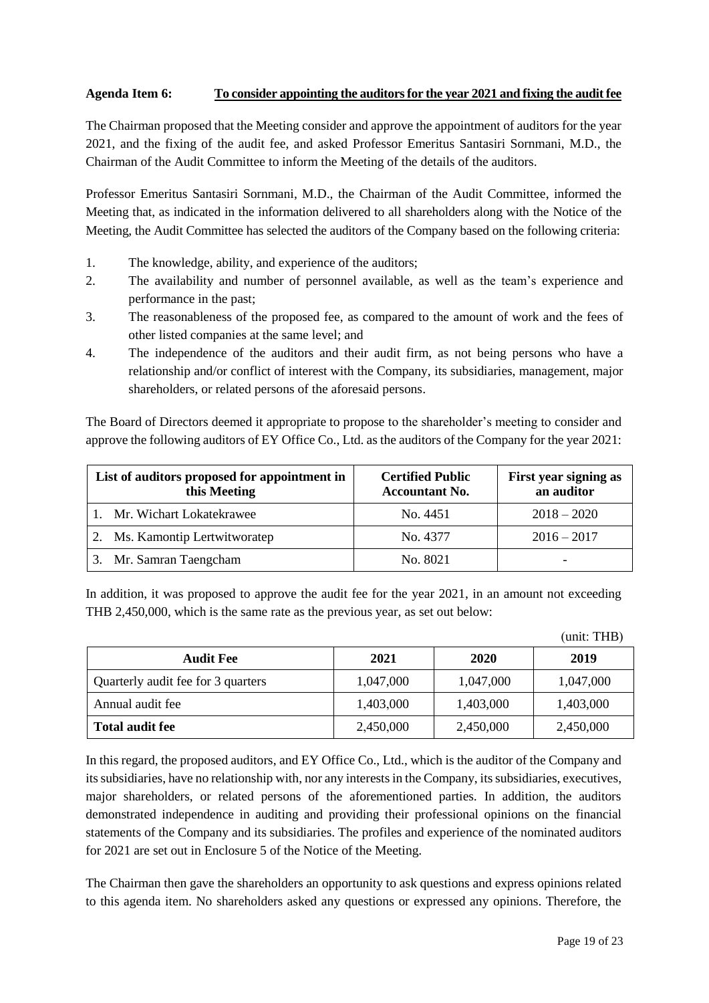#### **Agenda Item 6: To consider appointing the auditorsfor the year 2021 and fixing the audit fee**

The Chairman proposed that the Meeting consider and approve the appointment of auditors for the year 2021, and the fixing of the audit fee, and asked Professor Emeritus Santasiri Sornmani, M.D., the Chairman of the Audit Committee to inform the Meeting of the details of the auditors.

Professor Emeritus Santasiri Sornmani, M.D., the Chairman of the Audit Committee, informed the Meeting that, as indicated in the information delivered to all shareholders along with the Notice of the Meeting, the Audit Committee has selected the auditors of the Company based on the following criteria:

- 1. The knowledge, ability, and experience of the auditors;
- 2. The availability and number of personnel available, as well as the team's experience and performance in the past;
- 3. The reasonableness of the proposed fee, as compared to the amount of work and the fees of other listed companies at the same level; and
- 4. The independence of the auditors and their audit firm, as not being persons who have a relationship and/or conflict of interest with the Company, its subsidiaries, management, major shareholders, or related persons of the aforesaid persons.

The Board of Directors deemed it appropriate to propose to the shareholder's meeting to consider and approve the following auditors of EY Office Co., Ltd. as the auditors of the Company for the year 2021:

| List of auditors proposed for appointment in<br>this Meeting | <b>Certified Public</b><br><b>Accountant No.</b> | First year signing as<br>an auditor |
|--------------------------------------------------------------|--------------------------------------------------|-------------------------------------|
| 1. Mr. Wichart Lokatekrawee                                  | No. 4451                                         | $2018 - 2020$                       |
| 2. Ms. Kamontip Lertwitworatep                               | No. 4377                                         | $2016 - 2017$                       |
| Mr. Samran Taengcham                                         | No. 8021                                         |                                     |

In addition, it was proposed to approve the audit fee for the year 2021, in an amount not exceeding THB 2,450,000, which is the same rate as the previous year, as set out below:

|                                    |           |           | (unit: THB) |
|------------------------------------|-----------|-----------|-------------|
| <b>Audit Fee</b>                   | 2021      | 2020      | 2019        |
| Quarterly audit fee for 3 quarters | 1,047,000 | 1,047,000 | 1,047,000   |
| Annual audit fee                   | 1,403,000 | 1,403,000 | 1,403,000   |
| <b>Total audit fee</b>             | 2,450,000 | 2,450,000 | 2,450,000   |

In this regard, the proposed auditors, and EY Office Co., Ltd., which is the auditor of the Company and its subsidiaries, have no relationship with, nor any interests in the Company, its subsidiaries, executives, major shareholders, or related persons of the aforementioned parties. In addition, the auditors demonstrated independence in auditing and providing their professional opinions on the financial statements of the Company and its subsidiaries. The profiles and experience of the nominated auditors for 2021 are set out in Enclosure 5 of the Notice of the Meeting.

The Chairman then gave the shareholders an opportunity to ask questions and express opinions related to this agenda item. No shareholders asked any questions or expressed any opinions. Therefore, the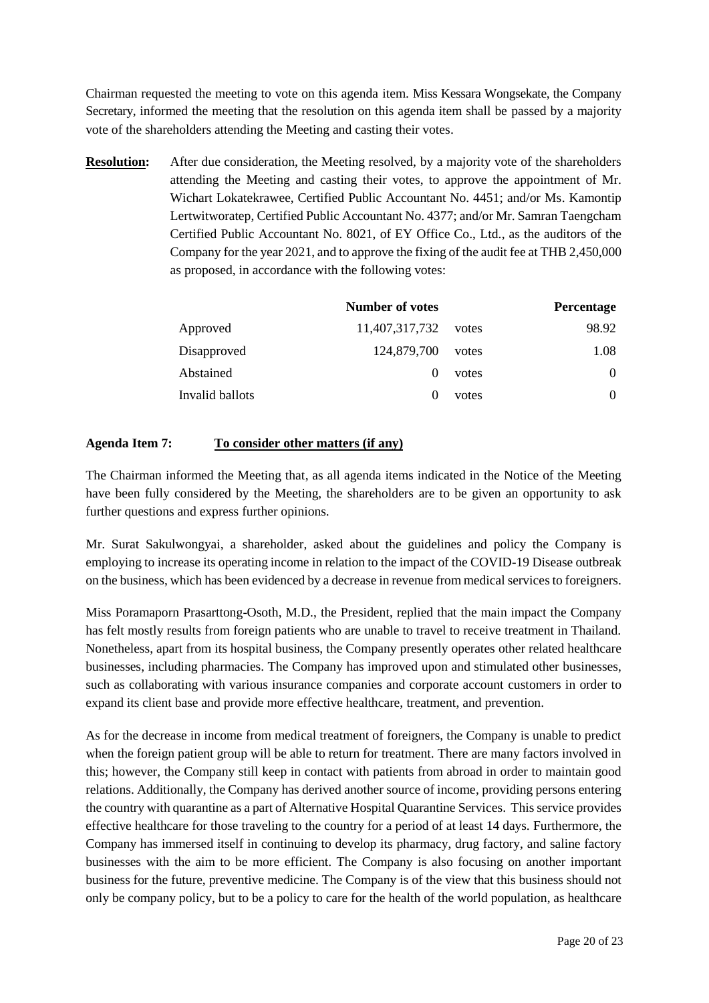Chairman requested the meeting to vote on this agenda item. Miss Kessara Wongsekate, the Company Secretary, informed the meeting that the resolution on this agenda item shall be passed by a majority vote of the shareholders attending the Meeting and casting their votes.

**Resolution:** After due consideration, the Meeting resolved, by a majority vote of the shareholders attending the Meeting and casting their votes, to approve the appointment of Mr. Wichart Lokatekrawee, Certified Public Accountant No. 4451; and/or Ms. Kamontip Lertwitworatep, Certified Public Accountant No. 4377; and/or Mr. Samran Taengcham Certified Public Accountant No. 8021, of EY Office Co., Ltd., as the auditors of the Company for the year 2021, and to approve the fixing of the audit fee at THB 2,450,000 as proposed, in accordance with the following votes:

|                 | <b>Number of votes</b> |       | Percentage |
|-----------------|------------------------|-------|------------|
| Approved        | 11,407,317,732         | votes | 98.92      |
| Disapproved     | 124,879,700            | votes | 1.08       |
| Abstained       |                        | votes | $\Omega$   |
| Invalid ballots |                        | votes | $\theta$   |

### **Agenda Item 7: To consider other matters (if any)**

The Chairman informed the Meeting that, as all agenda items indicated in the Notice of the Meeting have been fully considered by the Meeting, the shareholders are to be given an opportunity to ask further questions and express further opinions.

Mr. Surat Sakulwongyai, a shareholder, asked about the guidelines and policy the Company is employing to increase its operating income in relation to the impact of the COVID-19 Disease outbreak on the business, which has been evidenced by a decrease in revenue from medical services to foreigners.

Miss Poramaporn Prasarttong-Osoth, M.D., the President, replied that the main impact the Company has felt mostly results from foreign patients who are unable to travel to receive treatment in Thailand. Nonetheless, apart from its hospital business, the Company presently operates other related healthcare businesses, including pharmacies. The Company has improved upon and stimulated other businesses, such as collaborating with various insurance companies and corporate account customers in order to expand its client base and provide more effective healthcare, treatment, and prevention.

As for the decrease in income from medical treatment of foreigners, the Company is unable to predict when the foreign patient group will be able to return for treatment. There are many factors involved in this; however, the Company still keep in contact with patients from abroad in order to maintain good relations. Additionally, the Company has derived another source of income, providing persons entering the country with quarantine as a part of Alternative Hospital Quarantine Services. This service provides effective healthcare for those traveling to the country for a period of at least 14 days. Furthermore, the Company has immersed itself in continuing to develop its pharmacy, drug factory, and saline factory businesses with the aim to be more efficient. The Company is also focusing on another important business for the future, preventive medicine. The Company is of the view that this business should not only be company policy, but to be a policy to care for the health of the world population, as healthcare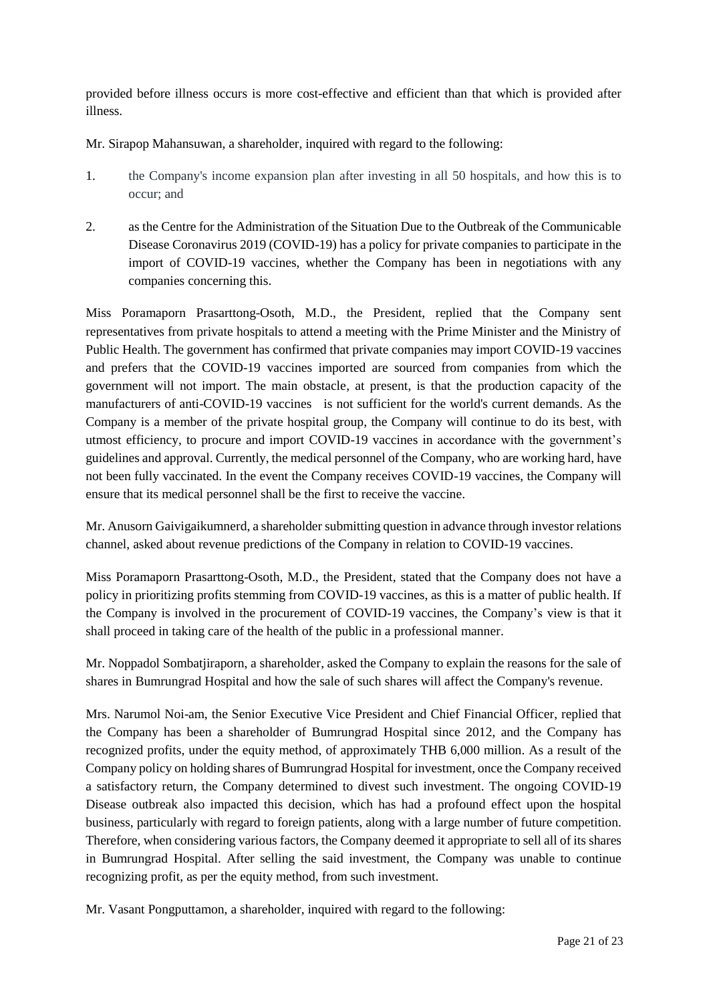provided before illness occurs is more cost-effective and efficient than that which is provided after illness.

Mr. Sirapop Mahansuwan, a shareholder, inquired with regard to the following:

- 1. the Company's income expansion plan after investing in all 50 hospitals, and how this is to occur; and
- 2. as the Centre for the Administration of the Situation Due to the Outbreak of the Communicable Disease Coronavirus 2019 (COVID-19) has a policy for private companies to participate in the import of COVID-19 vaccines, whether the Company has been in negotiations with any companies concerning this.

Miss Poramaporn Prasarttong-Osoth, M.D., the President, replied that the Company sent representatives from private hospitals to attend a meeting with the Prime Minister and the Ministry of Public Health. The government has confirmed that private companies may import COVID-19 vaccines and prefers that the COVID-19 vaccines imported are sourced from companies from which the government will not import. The main obstacle, at present, is that the production capacity of the manufacturers of anti-COVID-19 vaccines is not sufficient for the world's current demands. As the Company is a member of the private hospital group, the Company will continue to do its best, with utmost efficiency, to procure and import COVID-19 vaccines in accordance with the government's guidelines and approval. Currently, the medical personnel of the Company, who are working hard, have not been fully vaccinated. In the event the Company receives COVID-19 vaccines, the Company will ensure that its medical personnel shall be the first to receive the vaccine.

Mr. Anusorn Gaivigaikumnerd, a shareholder submitting question in advance through investor relations channel, asked about revenue predictions of the Company in relation to COVID-19 vaccines.

Miss Poramaporn Prasarttong-Osoth, M.D., the President, stated that the Company does not have a policy in prioritizing profits stemming from COVID-19 vaccines, as this is a matter of public health. If the Company is involved in the procurement of COVID-19 vaccines, the Company's view is that it shall proceed in taking care of the health of the public in a professional manner.

Mr. Noppadol Sombatjiraporn, a shareholder, asked the Company to explain the reasons for the sale of shares in Bumrungrad Hospital and how the sale of such shares will affect the Company's revenue.

Mrs. Narumol Noi-am, the Senior Executive Vice President and Chief Financial Officer, replied that the Company has been a shareholder of Bumrungrad Hospital since 2012, and the Company has recognized profits, under the equity method, of approximately THB 6,000 million. As a result of the Company policy on holding shares of Bumrungrad Hospital for investment, once the Company received a satisfactory return, the Company determined to divest such investment. The ongoing COVID-19 Disease outbreak also impacted this decision, which has had a profound effect upon the hospital business, particularly with regard to foreign patients, along with a large number of future competition. Therefore, when considering various factors, the Company deemed it appropriate to sell all of its shares in Bumrungrad Hospital. After selling the said investment, the Company was unable to continue recognizing profit, as per the equity method, from such investment.

Mr. Vasant Pongputtamon, a shareholder, inquired with regard to the following: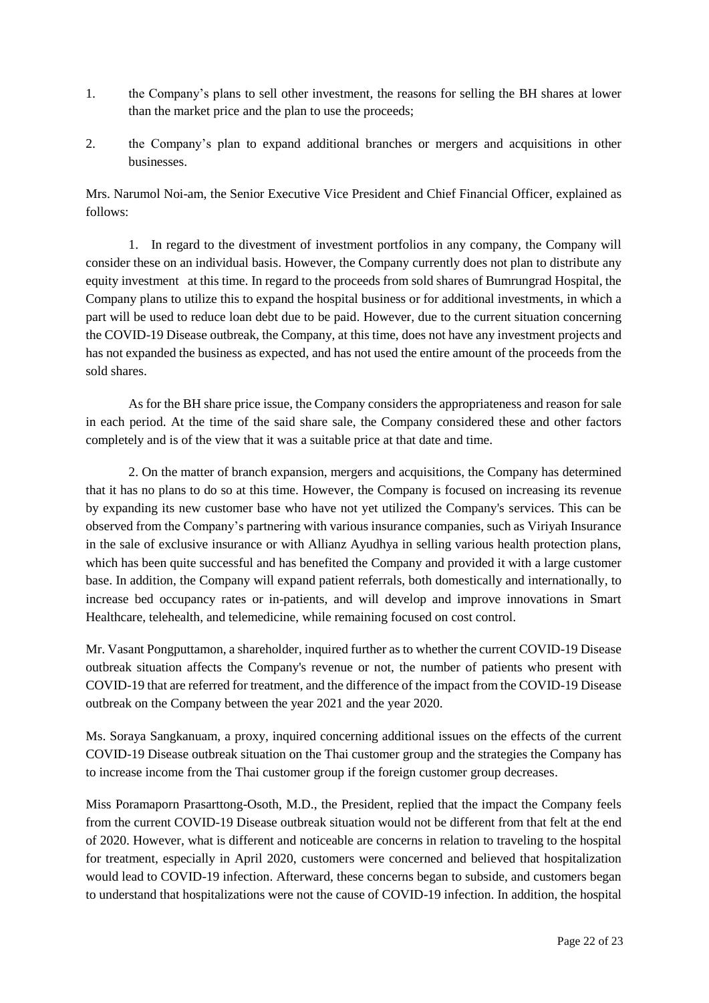- 1. the Company's plans to sell other investment, the reasons for selling the BH shares at lower than the market price and the plan to use the proceeds;
- 2. the Company's plan to expand additional branches or mergers and acquisitions in other businesses.

Mrs. Narumol Noi-am, the Senior Executive Vice President and Chief Financial Officer, explained as follows:

1. In regard to the divestment of investment portfolios in any company, the Company will consider these on an individual basis. However, the Company currently does not plan to distribute any equity investment at this time. In regard to the proceeds from sold shares of Bumrungrad Hospital, the Company plans to utilize this to expand the hospital business or for additional investments, in which a part will be used to reduce loan debt due to be paid. However, due to the current situation concerning the COVID-19 Disease outbreak, the Company, at this time, does not have any investment projects and has not expanded the business as expected, and has not used the entire amount of the proceeds from the sold shares.

As for the BH share price issue, the Company considers the appropriateness and reason for sale in each period. At the time of the said share sale, the Company considered these and other factors completely and is of the view that it was a suitable price at that date and time.

2. On the matter of branch expansion, mergers and acquisitions, the Company has determined that it has no plans to do so at this time. However, the Company is focused on increasing its revenue by expanding its new customer base who have not yet utilized the Company's services. This can be observed from the Company's partnering with various insurance companies, such as Viriyah Insurance in the sale of exclusive insurance or with Allianz Ayudhya in selling various health protection plans, which has been quite successful and has benefited the Company and provided it with a large customer base. In addition, the Company will expand patient referrals, both domestically and internationally, to increase bed occupancy rates or in-patients, and will develop and improve innovations in Smart Healthcare, telehealth, and telemedicine, while remaining focused on cost control.

Mr. Vasant Pongputtamon, a shareholder, inquired further as to whether the current COVID-19 Disease outbreak situation affects the Company's revenue or not, the number of patients who present with COVID-19 that are referred for treatment, and the difference of the impact from the COVID-19 Disease outbreak on the Company between the year 2021 and the year 2020.

Ms. Soraya Sangkanuam, a proxy, inquired concerning additional issues on the effects of the current COVID-19 Disease outbreak situation on the Thai customer group and the strategies the Company has to increase income from the Thai customer group if the foreign customer group decreases.

Miss Poramaporn Prasarttong-Osoth, M.D., the President, replied that the impact the Company feels from the current COVID-19 Disease outbreak situation would not be different from that felt at the end of 2020. However, what is different and noticeable are concerns in relation to traveling to the hospital for treatment, especially in April 2020, customers were concerned and believed that hospitalization would lead to COVID-19 infection. Afterward, these concerns began to subside, and customers began to understand that hospitalizations were not the cause of COVID-19 infection. In addition, the hospital